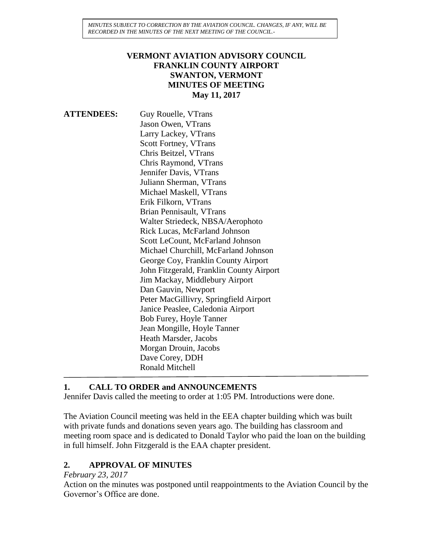*MINUTES SUBJECT TO CORRECTION BY THE AVIATION COUNCIL. CHANGES, IF ANY, WILL BE RECORDED IN THE MINUTES OF THE NEXT MEETING OF THE COUNCIL.-*

#### **VERMONT AVIATION ADVISORY COUNCIL FRANKLIN COUNTY AIRPORT SWANTON, VERMONT MINUTES OF MEETING May 11, 2017**

**ATTENDEES:** Guy Rouelle, VTrans Jason Owen, VTrans Larry Lackey, VTrans Scott Fortney, VTrans Chris Beitzel, VTrans Chris Raymond, VTrans Jennifer Davis, VTrans Juliann Sherman, VTrans Michael Maskell, VTrans Erik Filkorn, VTrans Brian Pennisault, VTrans Walter Striedeck, NBSA/Aerophoto Rick Lucas, McFarland Johnson Scott LeCount, McFarland Johnson Michael Churchill, McFarland Johnson George Coy, Franklin County Airport John Fitzgerald, Franklin County Airport Jim Mackay, Middlebury Airport Dan Gauvin, Newport Peter MacGillivry, Springfield Airport Janice Peaslee, Caledonia Airport Bob Furey, Hoyle Tanner Jean Mongille, Hoyle Tanner Heath Marsder, Jacobs Morgan Drouin, Jacobs Dave Corey, DDH Ronald Mitchell

#### **1. CALL TO ORDER and ANNOUNCEMENTS**

Jennifer Davis called the meeting to order at 1:05 PM. Introductions were done.

The Aviation Council meeting was held in the EEA chapter building which was built with private funds and donations seven years ago. The building has classroom and meeting room space and is dedicated to Donald Taylor who paid the loan on the building in full himself. John Fitzgerald is the EAA chapter president.

#### **2. APPROVAL OF MINUTES**

#### *February 23, 2017*

Action on the minutes was postponed until reappointments to the Aviation Council by the Governor's Office are done.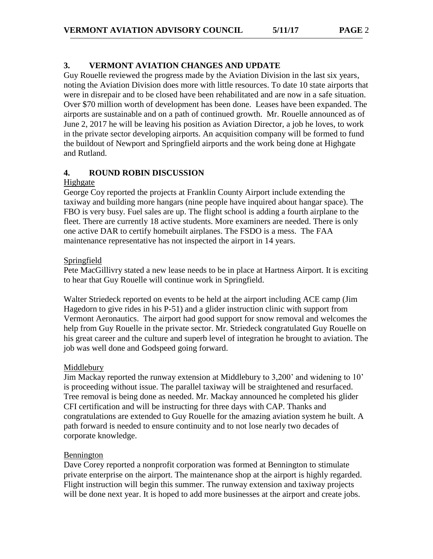Guy Rouelle reviewed the progress made by the Aviation Division in the last six years, noting the Aviation Division does more with little resources. To date 10 state airports that were in disrepair and to be closed have been rehabilitated and are now in a safe situation. Over \$70 million worth of development has been done. Leases have been expanded. The airports are sustainable and on a path of continued growth. Mr. Rouelle announced as of June 2, 2017 he will be leaving his position as Aviation Director, a job he loves, to work in the private sector developing airports. An acquisition company will be formed to fund the buildout of Newport and Springfield airports and the work being done at Highgate and Rutland.

## **4. ROUND ROBIN DISCUSSION**

#### **Highgate**

George Coy reported the projects at Franklin County Airport include extending the taxiway and building more hangars (nine people have inquired about hangar space). The FBO is very busy. Fuel sales are up. The flight school is adding a fourth airplane to the fleet. There are currently 18 active students. More examiners are needed. There is only one active DAR to certify homebuilt airplanes. The FSDO is a mess. The FAA maintenance representative has not inspected the airport in 14 years.

#### Springfield

Pete MacGillivry stated a new lease needs to be in place at Hartness Airport. It is exciting to hear that Guy Rouelle will continue work in Springfield.

Walter Striedeck reported on events to be held at the airport including ACE camp (Jim Hagedorn to give rides in his P-51) and a glider instruction clinic with support from Vermont Aeronautics. The airport had good support for snow removal and welcomes the help from Guy Rouelle in the private sector. Mr. Striedeck congratulated Guy Rouelle on his great career and the culture and superb level of integration he brought to aviation. The job was well done and Godspeed going forward.

## Middlebury

Jim Mackay reported the runway extension at Middlebury to 3,200' and widening to 10' is proceeding without issue. The parallel taxiway will be straightened and resurfaced. Tree removal is being done as needed. Mr. Mackay announced he completed his glider CFI certification and will be instructing for three days with CAP. Thanks and congratulations are extended to Guy Rouelle for the amazing aviation system he built. A path forward is needed to ensure continuity and to not lose nearly two decades of corporate knowledge.

#### Bennington

Dave Corey reported a nonprofit corporation was formed at Bennington to stimulate private enterprise on the airport. The maintenance shop at the airport is highly regarded. Flight instruction will begin this summer. The runway extension and taxiway projects will be done next year. It is hoped to add more businesses at the airport and create jobs.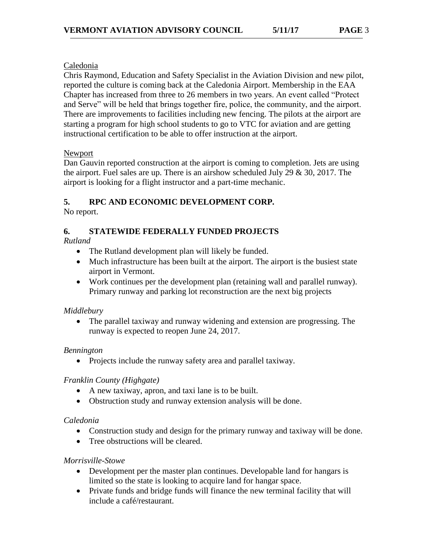#### Caledonia

Chris Raymond, Education and Safety Specialist in the Aviation Division and new pilot, reported the culture is coming back at the Caledonia Airport. Membership in the EAA Chapter has increased from three to 26 members in two years. An event called "Protect and Serve" will be held that brings together fire, police, the community, and the airport. There are improvements to facilities including new fencing. The pilots at the airport are starting a program for high school students to go to VTC for aviation and are getting instructional certification to be able to offer instruction at the airport.

#### Newport

Dan Gauvin reported construction at the airport is coming to completion. Jets are using the airport. Fuel sales are up. There is an airshow scheduled July 29  $\&$  30, 2017. The airport is looking for a flight instructor and a part-time mechanic.

# **5. RPC AND ECONOMIC DEVELOPMENT CORP.**

No report.

# **6. STATEWIDE FEDERALLY FUNDED PROJECTS**

*Rutland*

- The Rutland development plan will likely be funded.
- Much infrastructure has been built at the airport. The airport is the busiest state airport in Vermont.
- Work continues per the development plan (retaining wall and parallel runway). Primary runway and parking lot reconstruction are the next big projects

## *Middlebury*

 The parallel taxiway and runway widening and extension are progressing. The runway is expected to reopen June 24, 2017.

## *Bennington*

• Projects include the runway safety area and parallel taxiway.

## *Franklin County (Highgate)*

- A new taxiway, apron, and taxi lane is to be built.
- Obstruction study and runway extension analysis will be done.

## *Caledonia*

- Construction study and design for the primary runway and taxiway will be done.
- Tree obstructions will be cleared.

## *Morrisville-Stowe*

- Development per the master plan continues. Developable land for hangars is limited so the state is looking to acquire land for hangar space.
- Private funds and bridge funds will finance the new terminal facility that will include a café/restaurant.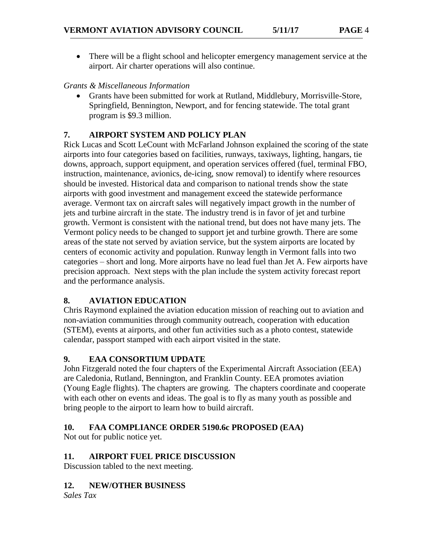There will be a flight school and helicopter emergency management service at the airport. Air charter operations will also continue.

## *Grants & Miscellaneous Information*

 Grants have been submitted for work at Rutland, Middlebury, Morrisville-Store, Springfield, Bennington, Newport, and for fencing statewide. The total grant program is \$9.3 million.

## **7. AIRPORT SYSTEM AND POLICY PLAN**

Rick Lucas and Scott LeCount with McFarland Johnson explained the scoring of the state airports into four categories based on facilities, runways, taxiways, lighting, hangars, tie downs, approach, support equipment, and operation services offered (fuel, terminal FBO, instruction, maintenance, avionics, de-icing, snow removal) to identify where resources should be invested. Historical data and comparison to national trends show the state airports with good investment and management exceed the statewide performance average. Vermont tax on aircraft sales will negatively impact growth in the number of jets and turbine aircraft in the state. The industry trend is in favor of jet and turbine growth. Vermont is consistent with the national trend, but does not have many jets. The Vermont policy needs to be changed to support jet and turbine growth. There are some areas of the state not served by aviation service, but the system airports are located by centers of economic activity and population. Runway length in Vermont falls into two categories – short and long. More airports have no lead fuel than Jet A. Few airports have precision approach. Next steps with the plan include the system activity forecast report and the performance analysis.

# **8. AVIATION EDUCATION**

Chris Raymond explained the aviation education mission of reaching out to aviation and non-aviation communities through community outreach, cooperation with education (STEM), events at airports, and other fun activities such as a photo contest, statewide calendar, passport stamped with each airport visited in the state.

## **9. EAA CONSORTIUM UPDATE**

John Fitzgerald noted the four chapters of the Experimental Aircraft Association (EEA) are Caledonia, Rutland, Bennington, and Franklin County. EEA promotes aviation (Young Eagle flights). The chapters are growing. The chapters coordinate and cooperate with each other on events and ideas. The goal is to fly as many youth as possible and bring people to the airport to learn how to build aircraft.

## **10. FAA COMPLIANCE ORDER 5190.6c PROPOSED (EAA)**

Not out for public notice yet.

# **11. AIRPORT FUEL PRICE DISCUSSION**

Discussion tabled to the next meeting.

# **12. NEW/OTHER BUSINESS**

*Sales Tax*